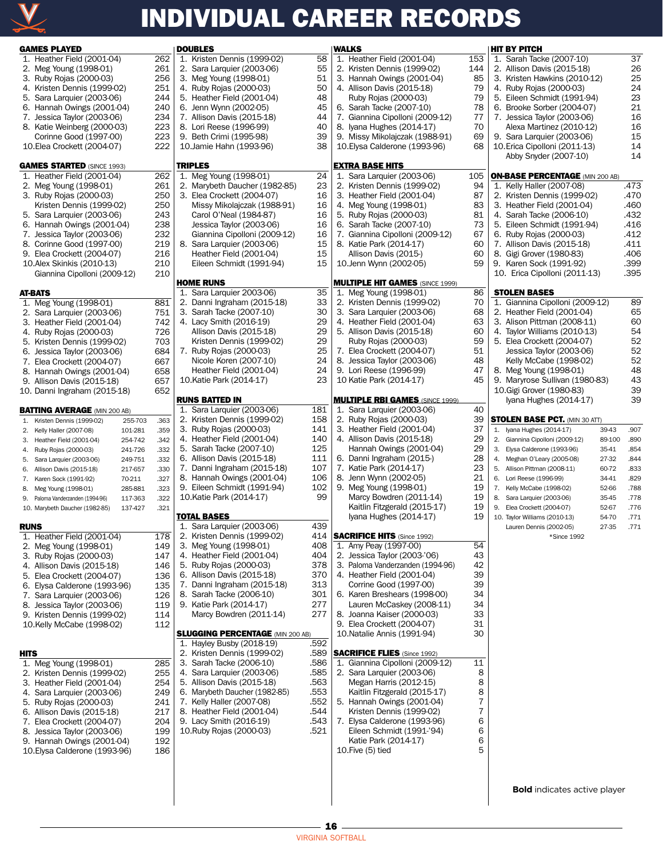

## INDIVIDUAL CAREER RECORDS

| <b>GAMES PLAYED</b>                                                   |                    |              | <b>DOUBLE</b>  |                      |
|-----------------------------------------------------------------------|--------------------|--------------|----------------|----------------------|
| 1. Heather Field (2001-04)                                            |                    | 262          |                | 1. Kris              |
| 2. Meg Young (1998-01)                                                |                    | 261          |                | 2. Sara              |
| 3. Ruby Rojas (2000-03)                                               |                    | 256          |                | 3. Meg               |
| 4. Kristen Dennis (1999-02)                                           |                    | 251          |                | 4. Rub               |
| 5. Sara Larquier (2003-06)                                            |                    | 244          |                | 5. Hea               |
| 6. Hannah Owings (2001-04)                                            |                    | 240          |                | 6. Jenr              |
| 7. Jessica Taylor (2003-06)                                           |                    | 234<br>223   |                | 7. Allis             |
| 8. Katie Weinberg (2000-03)<br>Corinne Good (1997-00)                 |                    | 223          |                | 8. Lori<br>9. Beth   |
| 10. Elea Crockett (2004-07)                                           |                    | 222          |                | 10.Jam               |
| <b>GAMES STARTED (SINCE 1993)</b>                                     |                    |              | <b>TRIPLES</b> |                      |
| 1. Heather Field (2001-04)                                            |                    | 262          |                | 1. Meg               |
| 2. Meg Young (1998-01)                                                |                    | 261          |                | 2. Mar               |
| 3. Ruby Rojas (2000-03)                                               |                    | 250          |                | 3. Elea              |
| Kristen Dennis (1999-02)                                              |                    | 250          |                | Mis:                 |
| 5. Sara Larquier (2003-06)                                            |                    | 243          |                | Card                 |
| 6. Hannah Owings (2001-04)                                            |                    | 238          |                | Jess                 |
| 7. Jessica Taylor (2003-06)                                           |                    | 232          |                | Giar                 |
| 8. Corinne Good (1997-00)<br>9. Elea Crockett (2004-07)               |                    | 219<br>216   | 8.             | Sara<br>Hea          |
| 10.Alex Skinkis (2010-13)                                             |                    | 210          |                | Eilee                |
| Giannina Cipolloni (2009-12)                                          |                    | 210          |                |                      |
|                                                                       |                    |              | <b>HOME R</b>  |                      |
| AT-BATS                                                               |                    |              |                | 1. Sara              |
| 1. Meg Young (1998-01)                                                |                    | 881          |                | 2. Dan               |
| 2. Sara Larquier (2003-06)                                            |                    | 751          |                | 3. Sara              |
| 3. Heather Field (2001-04)                                            |                    | 742          |                | 4. Lacy              |
| 4. Ruby Rojas (2000-03)<br>5. Kristen Dennis (1999-02)                |                    | 726          |                | Allis<br><b>Kris</b> |
| 6. Jessica Taylor (2003-06)                                           |                    | 703<br>684   |                | 7. Rub               |
| 7. Elea Crockett (2004-07)                                            |                    | 667          |                | Nicc                 |
| 8. Hannah Owings (2001-04)                                            |                    | 658          |                | Hea                  |
| 9. Allison Davis (2015-18)                                            |                    | 657          |                | 10.Kati              |
| 10. Danni Ingraham (2015-18)                                          |                    | 652          |                |                      |
| <b>BATTING AVERAGE (MIN 200 AB)</b>                                   |                    |              | <b>RUNS B</b>  | 1. Sara              |
| Kristen Dennis (1999-02)<br>1.                                        | 255-703            | .363         |                | 2. Kris <sup>.</sup> |
| 2.<br>Kelly Haller (2007-08)                                          | 101-281            | .359         |                | 3. Rub               |
| 3.<br>Heather Field (2001-04)                                         | 254-742            | .342         |                | 4. Hea               |
| Ruby Rojas (2000-03)<br>4.                                            | 241-726            | .332         |                | 5. Sara              |
| Sara Larquier (2003-06)<br>5.                                         | 249-751            | .332         |                | 6. Allis             |
| Allison Davis (2015-18)<br>6.                                         | 217-657            | .330         |                | 7. Dan               |
| 7.<br>Karen Sock (1991-92)                                            | 70-211             | .327         |                | 8. Han               |
| Meg Young (1998-01)<br>8.                                             | 285-881            | .323         |                | 9. Eilee             |
| 9.<br>Paloma Vanderzanden (1994-96)<br>10. Marybeth Daucher (1982-85) | 117-363<br>137-427 | .322<br>.321 |                | 10.Kati              |
|                                                                       |                    |              | <b>TOTAL B</b> |                      |
| <b>RUNS</b><br>1. Heather Field (2001-04)                             |                    | 178          |                | 1. Sara<br>2. Kris   |
| 2. Meg Young (1998-01)                                                |                    | 149          | 3.             | Meg                  |
| Ruby Rojas (2000-03)<br>3.                                            |                    | 147          | 4.             | Hea                  |
| 4. Allison Davis (2015-18)                                            |                    | 146          |                | 5. Rub               |
| 5. Elea Crockett (2004-07)                                            |                    | 136          | 6.             | Allis                |
| 6. Elysa Calderone (1993-96)                                          |                    | 135          |                | 7. Dan               |
| 7. Sara Larquier (2003-06)                                            |                    | 126          | 8.             | Sara                 |
| 8. Jessica Taylor (2003-06)                                           |                    | 119          |                | 9. Kati              |
| 9. Kristen Dennis (1999-02)                                           |                    | 114          |                | Mar                  |
| 10.Kelly McCabe (1998-02)                                             |                    | 112          | <b>SLUGGI</b>  |                      |
|                                                                       |                    |              |                | 1. Hayl              |
| HITS                                                                  |                    |              |                | 2. Kris <sup>.</sup> |
| 1. Meg Young (1998-01)                                                |                    | 285          | 3.             | Sara                 |
| 2. Kristen Dennis (1999-02)                                           |                    | 255          | 4.             | Sara                 |
| 3. Heather Field (2001-04)                                            |                    | 254          |                | 5. Allis             |
| 4. Sara Larquier (2003-06)                                            |                    | 249          | 6.             | Mar                  |
| 5. Ruby Rojas (2000-03)                                               |                    | 241          |                | 7. Kelly             |
| 6. Allison Davis (2015-18)                                            |                    | 217          |                | 8. Hea               |
| 7. Elea Crockett (2004-07)<br>8. Jessica Taylor (2003-06)             |                    | 204<br>199   |                | 9. Lacy<br>10.Rub    |
|                                                                       |                    | 192          |                |                      |
|                                                                       |                    |              |                |                      |
| 9. Hannah Owings (2001-04)<br>10. Elysa Calderone (1993-96)           |                    | 186          |                |                      |
|                                                                       |                    |              |                |                      |

| <b>DOUBLES</b>                          |      | <b>WALKS</b>                           |     | <b>HIT BY PITCH</b>                                 |          |
|-----------------------------------------|------|----------------------------------------|-----|-----------------------------------------------------|----------|
| 1. Kristen Dennis (1999-02)             | 58   | 1. Heather Field (2001-04)             | 153 | 1. Sarah Tacke (2007-10)                            | 37       |
| 2. Sara Larquier (2003-06)              | 55   | 2. Kristen Dennis (1999-02)            | 144 | 2. Allison Davis (2015-18)                          | 26       |
| 3. Meg Young (1998-01)                  | 51   | 3. Hannah Owings (2001-04)             | 85  | 3. Kristen Hawkins (2010-12)                        | 25       |
| 4. Ruby Rojas (2000-03)                 | 50   | 4. Allison Davis (2015-18)             | 79  | 4. Ruby Rojas (2000-03)                             | 24       |
| 5. Heather Field (2001-04)              | 48   | Ruby Rojas (2000-03)                   | 79  | 5. Eileen Schmidt (1991-94)                         | 23       |
| 6. Jenn Wynn (2002-05)                  | 45   | 6. Sarah Tacke (2007-10)               | 78  | 6. Brooke Sorber (2004-07)                          | 21       |
| 7. Allison Davis (2015-18)              | 44   | 7. Giannina Cipolloni (2009-12)        | 77  | 7. Jessica Taylor (2003-06)                         | 16       |
| 8. Lori Reese (1996-99)                 | 40   | 8. Iyana Hughes (2014-17)              | 70  | Alexa Martinez (2010-12)                            | 16       |
| 9. Beth Crimi (1995-98)                 | 39   | 9. Missy Mikolajczak (1988-91)         | 69  | 9. Sara Larquier (2003-06)                          | 15       |
| 10. Jamie Hahn (1993-96)                | 38   | 10. Elysa Calderone (1993-96)          | 68  | 10. Erica Cipolloni (2011-13)                       | 14       |
|                                         |      |                                        |     | Abby Snyder (2007-10)                               | 14       |
| <b>TRIPLES</b>                          |      | <b>EXTRA BASE HITS</b>                 |     |                                                     |          |
| 1. Meg Young (1998-01)                  | 24   | 1. Sara Larguier (2003-06)             | 105 | <b>ON-BASE PERCENTAGE (MIN 200 AB)</b>              |          |
| 2. Marybeth Daucher (1982-85)           | 23   | 2. Kristen Dennis (1999-02)            | 94  | 1. Kelly Haller (2007-08)                           | .473     |
| 3. Elea Crockett (2004-07)              | 16   | 3. Heather Field (2001-04)             | 87  | 2. Kristen Dennis (1999-02)                         | .470     |
| Missy Mikolajczak (1988-91)             | 16   | 4. Meg Young (1998-01)                 | 83  | 3. Heather Field (2001-04)                          | .460     |
| Carol O'Neal (1984-87)                  | 16   | 5. Ruby Rojas (2000-03)                | 81  | 4. Sarah Tacke (2006-10)                            | .432     |
| Jessica Taylor (2003-06)                | 16   | 6. Sarah Tacke (2007-10)               | 73  | 5. Eileen Schmidt (1991-94)                         | .416     |
| Giannina Cipolloni (2009-12)            | 16   | 7. Giannina Cipolloni (2009-12)        | 67  | 6. Ruby Rojas (2000-03)                             | .412     |
| 8. Sara Larquier (2003-06)              | 15   | 8. Katie Park (2014-17)                | 60  | 7. Allison Davis (2015-18)                          | .411     |
| Heather Field (2001-04)                 | 15   | Allison Davis (2015-)                  | 60  | 8. Gigi Grover (1980-83)                            | .406     |
| Eileen Schmidt (1991-94)                | 15   | 10.Jenn Wynn (2002-05)                 | 59  | 9. Karen Sock (1991-92)                             | .399     |
|                                         |      |                                        |     | 10. Erica Cipolloni (2011-13)                       | .395     |
| <b>HOME RUNS</b>                        |      | <b>MULTIPLE HIT GAMES (SINCE 1999)</b> |     |                                                     |          |
| 1. Sara Larquier 2003-06)               | 35   | 1. Meg Young (1998-01)                 | 86  | <b>STOLEN BASES</b>                                 |          |
| 2. Danni Ingraham (2015-18)             | 33   | 2. Kristen Dennis (1999-02)            | 70  | 1. Giannina Cipolloni (2009-12)                     | 89       |
| 3. Sarah Tacke (2007-10)                | 30   | 3. Sara Larquier (2003-06)             | 68  | 2. Heather Field (2001-04)                          | 65       |
| 4. Lacy Smith (2016-19)                 | 29   | 4. Heather Field (2001-04)             | 63  | 3. Alison Pittman (2008-11)                         | 60       |
| Allison Davis (2015-18)                 | 29   | 5. Allison Davis (2015-18)             | 60  | 4. Taylor Williams (2010-13)                        | 54       |
| Kristen Dennis (1999-02)                | 29   | Ruby Rojas (2000-03)                   | 59  | 5. Elea Crockett (2004-07)                          | 52       |
| 7. Ruby Rojas (2000-03)                 | 25   | 7. Elea Crockett (2004-07)             | 51  | Jessica Taylor (2003-06)                            | 52       |
| Nicole Koren (2007-10)                  | 24   | 8. Jessica Taylor (2003-06)            | 48  | Kelly McCabe (1998-02)                              | 52       |
| Heather Field (2001-04)                 | 24   | 9. Lori Reese (1996-99)                | 47  | 8. Meg Young (1998-01)                              | 48       |
| 10. Katie Park (2014-17)                | 23   | 10 Katie Park (2014-17)                | 45  | 9. Maryrose Sullivan (1980-83)                      | 43<br>39 |
| <b>RUNS BATTED IN</b>                   |      | <b>MULTIPLE RBI GAMES (SINCE 1999)</b> |     | 10. Gigi Grover (1980-83)<br>Iyana Hughes (2014-17) | 39       |
| 1. Sara Larquier (2003-06)              | 181  | 1. Sara Larquier (2003-06)             | 40  |                                                     |          |
| 2. Kristen Dennis (1999-02)             | 158  | 2. Ruby Rojas (2000-03)                | 39  | <b>STOLEN BASE PCT. (MIN 30 ATT)</b>                |          |
| 3. Ruby Rojas (2000-03)                 | 141  | 3. Heather Field (2001-04)             | 37  | 39-43<br>1. Iyana Hughes (2014-17)                  | .907     |
| 4. Heather Field (2001-04)              | 140  | 4. Allison Davis (2015-18)             | 29  | 2. Giannina Cipolloni (2009-12)<br>89-100           | .890     |
| 5. Sarah Tacke (2007-10)                | 125  | Hannah Owings (2001-04)                | 29  | 3. Elysa Calderone (1993-96)<br>35-41               | .854     |
| 6. Allison Davis (2015-18)              | 111  | 6. Danni Ingraham (2015-)              | 28  | 27-32<br>4. Meghan O'Leary (2005-08)                | .844     |
| 7. Danni Ingraham (2015-18)             | 107  | 7. Katie Park (2014-17)                | 23  | 60-72<br>5. Allison Pittman (2008-11)               | .833     |
| 8. Hannah Owings (2001-04)              | 106  | 8. Jenn Wynn (2002-05)                 | 21  | 6. Lori Reese (1996-99)<br>34-41                    | .829     |
| 9. Eileen Schmidt (1991-94)             | 102  | 9. Meg Young (1998-01)                 | 19  | 7. Kelly McCabe (1998-02)<br>52-66                  | .788     |
| 10.Katie Park (2014-17)                 | 99   | Marcy Bowdren (2011-14)                | 19  | 8. Sara Larquier (2003-06)<br>35-45                 | .778     |
|                                         |      | Kaitlin Fitzgerald (2015-17)           | 19  | 52-67<br>9. Elea Crockett (2004-07)                 | .776     |
| <b>TOTAL BASES</b>                      |      | Iyana Hughes (2014-17)                 | 19  | 54-70<br>10. Taylor Williams (2010-13)              | .771     |
| 1. Sara Larquier (2003-06)              | 439  |                                        |     | 27-35<br>Lauren Dennis (2002-05)                    | .771     |
| 2. Kristen Dennis (1999-02)             | 414  | <b>SACRIFICE HITS</b> (Since 1992)     |     | *Since 1992                                         |          |
| 3. Meg Young (1998-01)                  | 408  | 1. Amy Peay (1997-00)                  | 54  |                                                     |          |
| 4. Heather Field (2001-04)              | 404  | 2. Jessica Taylor (2003-'06)           | 43  |                                                     |          |
| 5. Ruby Rojas (2000-03)                 | 378  | 3. Paloma Vanderzanden (1994-96)       | 42  |                                                     |          |
| 6. Allison Davis (2015-18)              | 370  | 4. Heather Field (2001-04)             | 39  |                                                     |          |
| 7. Danni Ingraham (2015-18)             | 313  | Corrine Good (1997-00)                 | 39  |                                                     |          |
| 8. Sarah Tacke (2006-10)                | 301  | 6. Karen Breshears (1998-00)           | 34  |                                                     |          |
| 9. Katie Park (2014-17)                 | 277  | Lauren McCaskey (2008-11)              | 34  |                                                     |          |
| Marcy Bowdren (2011-14)                 | 277  | 8. Joanna Kaiser (2000-03)             | 33  |                                                     |          |
|                                         |      | 9. Elea Crockett (2004-07)             | 31  |                                                     |          |
| <b>SLUGGING PERCENTAGE (MIN 200 AB)</b> |      | 10. Natalie Annis (1991-94)            | 30  |                                                     |          |
| 1. Hayley Busby (2018-19)               | .592 |                                        |     |                                                     |          |
| 2. Kristen Dennis (1999-02)             | .589 | <b>SACRIFICE FLIES</b> (Since 1992)    |     |                                                     |          |
| 3. Sarah Tacke (2006-10)                | .586 | 1. Giannina Cipolloni (2009-12)        | 11  |                                                     |          |
| 4. Sara Larquier (2003-06)              | .585 | 2. Sara Larquier (2003-06)             | 8   |                                                     |          |
| 5. Allison Davis (2015-18)              | .563 | Megan Harris (2012-15)                 | 8   |                                                     |          |
| 6. Marybeth Daucher (1982-85)           | .553 | Kaitlin Fitzgerald (2015-17)           | 8   |                                                     |          |
| 7. Kelly Haller (2007-08)               | .552 | 5. Hannah Owings (2001-04)             | 7   |                                                     |          |
| 8. Heather Field (2001-04)              | .544 | Kristen Dennis (1999-02)               | 7   |                                                     |          |
| 9. Lacy Smith (2016-19)                 | .543 | 7. Elysa Calderone (1993-96)           | 6   |                                                     |          |
| 10. Ruby Rojas (2000-03)                | .521 | Eileen Schmidt (1991-'94)              | 6   |                                                     |          |
|                                         |      | Katie Park (2014-17)                   | 6   |                                                     |          |
|                                         |      | $10$ . Five $(5)$ tied                 | 5   |                                                     |          |
|                                         |      |                                        |     |                                                     |          |
|                                         |      |                                        |     |                                                     |          |
|                                         |      |                                        |     | <b>Bold</b> indicates active player                 |          |
|                                         |      |                                        |     |                                                     |          |